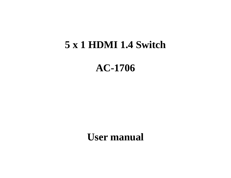# **5 x 1 HDMI 1.4 Switch**

**AC-1706**

**User manual**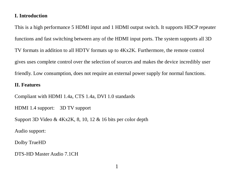## **I. Introduction**

This is a high performance 5 HDMI input and 1 HDMI output switch. It supports HDCP repeater functions and fast switching between any of the HDMI input ports. The system supports all 3D TV formats in addition to all HDTV formats up to 4Kx2K. Furthermore, the remote control gives uses complete control over the selection of sources and makes the device incredibly user friendly. Low consumption, does not require an external power supply for normal functions.

#### **II. Features**

Compliant with HDMI 1.4a, CTS 1.4a, DVI 1.0 standards

HDMI 1.4 support: 3D TV support

Support 3D Video & 4Kx2K, 8, 10, 12 & 16 bits per color depth

Audio support:

Dolby TrueHD

DTS-HD Master Audio 7.1CH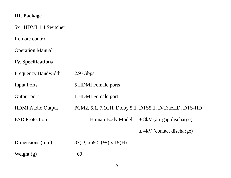## **III. Package**

## 5x1 HDMI 1.4 Switcher

Remote control

Operation Manual

## **IV. Specifications**

| Frequency Bandwidth      | 2.97Gbps                                              |                                                 |
|--------------------------|-------------------------------------------------------|-------------------------------------------------|
| <b>Input Ports</b>       | 5 HDMI Female ports                                   |                                                 |
| Output port              | 1 HDMI Female port                                    |                                                 |
| <b>HDMI</b> Audio Output | PCM2, 5.1, 7.1CH, Dolby 5.1, DTS5.1, D-TrueHD, DTS-HD |                                                 |
| <b>ESD</b> Protection    |                                                       | Human Body Model: $\pm$ 8kV (air-gap discharge) |
|                          |                                                       | $\pm$ 4kV (contact discharge)                   |
| Dimensions (mm)          | $87(D)$ x59.5 (W) x 19(H)                             |                                                 |
| Weight $(g)$             | 60                                                    |                                                 |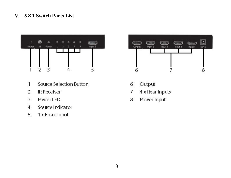## **V. 5**×**1 Switch Parts List**



- Source Selection Button  $\overline{1}$
- $\overline{2}$ **IR Receiver**
- 3 Power LED
- Source Indicator  $\overline{4}$
- 5 1 x Front Input



- 6 Output
- 7 4 x Rear Inputs
- 8 Power Input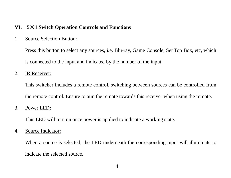#### **VI. 5**×**1 Switch Operation Controls and Functions**

#### 1. Source Selection Button:

Press this button to select any sources, i.e. Blu-ray, Game Console, Set Top Box, etc, which is connected to the input and indicated by the number of the input

#### 2. IR Receiver:

This switcher includes a remote control, switching between sources can be controlled from the remote control. Ensure to aim the remote towards this receiver when using the remote.

#### 3. Power LED:

This LED will turn on once power is applied to indicate a working state.

#### 4. Source Indicator:

When a source is selected, the LED underneath the corresponding input will illuminate to indicate the selected source.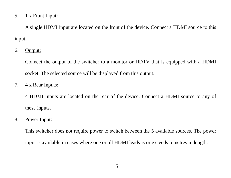#### 5. 1 x Front Input:

A single HDMI input are located on the front of the device. Connect a HDMI source to this input.

#### 6. Output:

Connect the output of the switcher to a monitor or HDTV that is equipped with a HDMI socket. The selected source will be displayed from this output.

#### 7.  $4 \times$  Rear Inputs:

4 HDMI inputs are located on the rear of the device. Connect a HDMI source to any of these inputs.

#### 8. Power Input:

This switcher does not require power to switch between the 5 available sources. The power input is available in cases where one or all HDMI leads is or exceeds 5 metres in length.